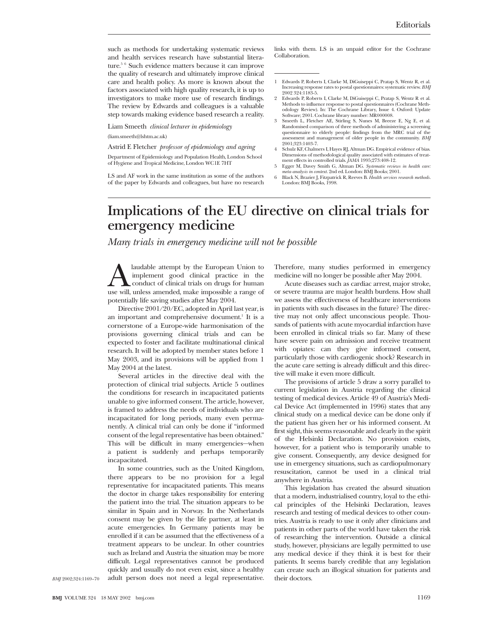such as methods for undertaking systematic reviews and health services research have substantial literature.<sup>5 6</sup> Such evidence matters because it can improve the quality of research and ultimately improve clinical care and health policy. As more is known about the factors associated with high quality research, it is up to investigators to make more use of research findings. The review by Edwards and colleagues is a valuable step towards making evidence based research a reality.

Liam Smeeth *clinical lecturer in epidemiology* (liam.smeeth@lshtm.ac.uk)

Astrid E Fletcher *professor of epidemiology and ageing*

Department of Epidemiology and Population Health, London School of Hygiene and Tropical Medicine, London WC1E 7HT

LS and AF work in the same institution as some of the authors of the paper by Edwards and colleagues, but have no research links with them. LS is an unpaid editor for the Cochrane Collaboration.

- 1 Edwards P, Roberts I, Clarke M, DiGuiseppi C, Pratap S, Wentz R, et al. Increasing response rates to postal questionnaires: systematic review. *BMJ* 2002 324:1183-5.
- 2 Edwards P, Roberts I, Clarke M, DiGuiseppi C, Pratap S, Wentz R et al. Methods to influence response to postal questionnaires (Cochrane Methodology Review). In: The Cochrane Library, Issue 4. Oxford: Update Software; 2001. Cochrane library number: MR000008.
- 3 Smeeth L, Fletcher AE, Stirling S, Nunes M, Breeze E, Ng E, et al. Randomised comparison of three methods of administering a screening questionnaire to elderly people: findings from the MRC trial of the assessment and management of older people in the community. *BMJ* 2001;323:1403-7.
- 4 Schulz KF, Chalmers I, Hayes RJ, Altman DG. Empirical evidence of bias. Dimensions of methodological quality associated with estimates of treat-ment effects in controlled trials. *JAMA* 1995;273:408-12.
- 5 Egger M, Davey Smith G, Altman DG. *Systematic reviews in health care: meta-analysis in context*. 2nd ed. London: BMJ Books; 2001.
- 6 Black N, Brazier J, Fitzpatrick R, Reeves B. *Health services research methods*. London: BMJ Books, 1998.

## **Implications of the EU directive on clinical trials for emergency medicine**

*Many trials in emergency medicine will not be possible*

A laudable attempt by the European Union to<br>
implement good clinical practice in the<br>
use will, unless amended, make impossible a range of implement good clinical practice in the conduct of clinical trials on drugs for human potentially life saving studies after May 2004.

Directive 2001/20/EC, adopted in April last year, is an important and comprehensive document.<sup>1</sup> It is a cornerstone of a Europe-wide harmonisation of the provisions governing clinical trials and can be expected to foster and facilitate multinational clinical research. It will be adopted by member states before 1 May 2003, and its provisions will be applied from 1 May 2004 at the latest.

Several articles in the directive deal with the protection of clinical trial subjects. Article 5 outlines the conditions for research in incapacitated patients unable to give informed consent. The article, however, is framed to address the needs of individuals who are incapacitated for long periods, many even permanently. A clinical trial can only be done if "informed consent of the legal representative has been obtained." This will be difficult in many emergencies—when a patient is suddenly and perhaps temporarily incapacitated.

In some countries, such as the United Kingdom, there appears to be no provision for a legal representative for incapacitated patients. This means the doctor in charge takes responsibility for entering the patient into the trial. The situation appears to be similar in Spain and in Norway. In the Netherlands consent may be given by the life partner, at least in acute emergencies. In Germany patients may be enrolled if it can be assumed that the effectiveness of a treatment appears to be unclear. In other countries such as Ireland and Austria the situation may be more difficult. Legal representatives cannot be produced quickly and usually do not even exist, since a healthy adult person does not need a legal representative.

Therefore, many studies performed in emergency medicine will no longer be possible after May 2004.

Acute diseases such as cardiac arrest, major stroke, or severe trauma are major health burdens. How shall we assess the effectiveness of healthcare interventions in patients with such diseases in the future? The directive may not only affect unconscious people. Thousands of patients with acute myocardial infarction have been enrolled in clinical trials so far. Many of these have severe pain on admission and receive treatment with opiates: can they give informed consent, particularly those with cardiogenic shock? Research in the acute care setting is already difficult and this directive will make it even more difficult.

The provisions of article 5 draw a sorry parallel to current legislation in Austria regarding the clinical testing of medical devices. Article 49 of Austria's Medical Device Act (implemented in 1996) states that any clinical study on a medical device can be done only if the patient has given her or his informed consent. At first sight, this seems reasonable and clearly in the spirit of the Helsinki Declaration. No provision exists, however, for a patient who is temporarily unable to give consent. Consequently, any device designed for use in emergency situations, such as cardiopulmonary resuscitation, cannot be used in a clinical trial anywhere in Austria.

This legislation has created the absurd situation that a modern, industrialised country, loyal to the ethical principles of the Helsinki Declaration, leaves research and testing of medical devices to other countries. Austria is ready to use it only after clinicians and patients in other parts of the world have taken the risk of researching the intervention. Outside a clinical study, however, physicians are legally permitted to use any medical device if they think it is best for their patients. It seems barely credible that any legislation can create such an illogical situation for patients and their doctors.